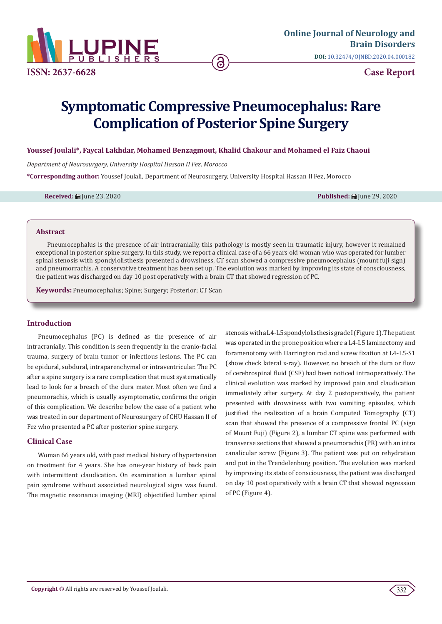

# **Symptomatic Compressive Pneumocephalus: Rare Complication of Posterior Spine Surgery**

## **Youssef Joulali\*, Faycal Lakhdar, Mohamed Benzagmout, Khalid Chakour and Mohamed el Faiz Chaoui**

*Department of Neurosurgery, University Hospital Hassan II Fez, Morocco*

**\*Corresponding author:** Youssef Joulali, Department of Neurosurgery, University Hospital Hassan II Fez, Morocco

**Received:** June 23, 2020 **Published:** June 29, 2020

#### **Abstract**

Pneumocephalus is the presence of air intracranially, this pathology is mostly seen in traumatic injury, however it remained exceptional in posterior spine surgery. In this study, we report a clinical case of a 66 years old woman who was operated for lumber spinal stenosis with spondylolisthesis presented a drowsiness, CT scan showed a compressive pneumocephalus (mount fuji sign) and pneumorrachis. A conservative treatment has been set up. The evolution was marked by improving its state of consciousness, the patient was discharged on day 10 post operatively with a brain CT that showed regression of PC.

**Keywords:** Pneumocephalus; Spine; Surgery; Posterior; CT Scan

## **Introduction**

Pneumocephalus (PC) is defined as the presence of air intracranially. This condition is seen frequently in the cranio-facial trauma, surgery of brain tumor or infectious lesions. The PC can be epidural, subdural, intraparenchymal or intraventricular. The PC after a spine surgery is a rare complication that must systematically lead to look for a breach of the dura mater. Most often we find a pneumorachis, which is usually asymptomatic, confirms the origin of this complication. We describe below the case of a patient who was treated in our department of Neurosurgery of CHU Hassan II of Fez who presented a PC after posterior spine surgery.

# **Clinical Case**

Woman 66 years old, with past medical history of hypertension on treatment for 4 years. She has one-year history of back pain with intermittent claudication. On examination a lumbar spinal pain syndrome without associated neurological signs was found. The magnetic resonance imaging (MRI) objectified lumber spinal stenosis with a L4-L5 spondylolisthesis grade I (Figure 1). The patient was operated in the prone position where a L4-L5 laminectomy and foramenotomy with Harrington rod and screw fixation at L4-L5-S1 (show check lateral x-ray). However, no breach of the dura or flow of cerebrospinal fluid (CSF) had been noticed intraoperatively. The clinical evolution was marked by improved pain and claudication immediately after surgery. At day 2 postoperatively, the patient presented with drowsiness with two vomiting episodes, which justified the realization of a brain Computed Tomography (CT) scan that showed the presence of a compressive frontal PC (sign of Mount Fuji) (Figure 2), a lumbar CT spine was performed with transverse sections that showed a pneumorachis (PR) with an intra canalicular screw (Figure 3). The patient was put on rehydration and put in the Trendelenburg position. The evolution was marked by improving its state of consciousness, the patient was discharged on day 10 post operatively with a brain CT that showed regression of PC (Figure 4).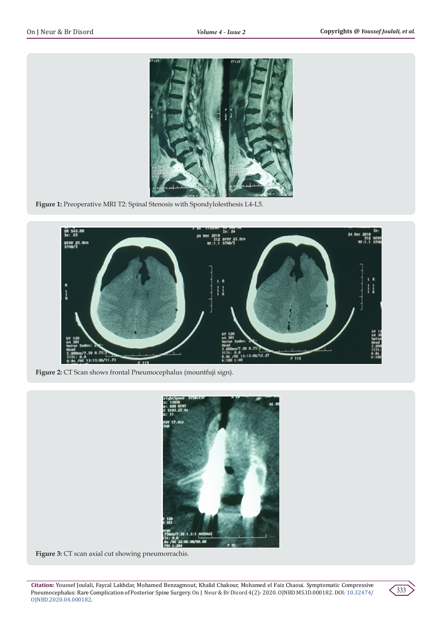

**Figure 1:** Preoperative MRI T2: Spinal Stenosis with Spondylolesthesis L4-L5.



**Figure 2:** CT Scan shows frontal Pneumocephalus (mountfuji sign).



**Figure 3:** CT scan axial cut showing pneumorrachis.

**Citation:** Youssef Joulali, Faycal Lakhdar, Mohamed Benzagmout, Khalid Chakour, Mohamed el Faiz Chaoui. Symptomatic Compressive Pneumocephalus: Rare Complication of Posterior Spine Surgery. On J Neur & Br Disord 4(2)- 2020. OJNBD.MS.ID.000182. DOI: [10.32474/](http://dx.doi.org/10.32474/OJNBD.2020.04.000182) [OJNBD.2020.04.000182](http://dx.doi.org/10.32474/OJNBD.2020.04.000182).

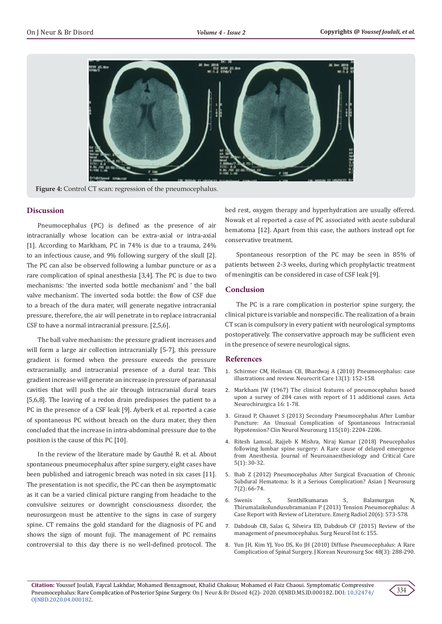

**Figure 4:** Control CT scan: regression of the pneumocephalus.

# **Discussion**

Pneumocephalus (PC) is defined as the presence of air intracranially whose location can be extra-axial or intra-axial [1]. According to Markham, PC in 74% is due to a trauma, 24% to an infectious cause, and 9% following surgery of the skull [2]. The PC can also be observed following a lumbar puncture or as a rare complication of spinal anesthesia [3,4]. The PC is due to two mechanisms: 'the inverted soda bottle mechanism' and ' the ball valve mechanism'. The inverted soda bottle: the flow of CSF due to a breach of the dura mater, will generate negative intracranial pressure, therefore, the air will penetrate in to replace intracranial CSF to have a normal intracranial pressure. [2,5,6].

The ball valve mechanism: the pressure gradient increases and will form a large air collection intracranially [5-7], this pressure gradient is formed when the pressure exceeds the pressure extracranially, and intracranial presence of a dural tear. This gradient increase will generate an increase in pressure of paranasal cavities that will push the air through intracranial dural tears [5,6,8]. The leaving of a redon drain predisposes the patient to a PC in the presence of a CSF leak [9]. Ayberk et al. reported a case of spontaneous PC without breach on the dura mater, they then concluded that the increase in intra-abdominal pressure due to the position is the cause of this PC [10].

In the review of the literature made by Gauthé R. et al. About spontaneous pneumocephalus after spine surgery, eight cases have been published and iatrogenic breach was noted in six cases [11]. The presentation is not specific, the PC can then be asymptomatic as it can be a varied clinical picture ranging from headache to the convulsive seizures or downright consciousness disorder, the neurosurgeon must be attentive to the signs in case of surgery spine. CT remains the gold standard for the diagnosis of PC and shows the sign of mount fuji. The management of PC remains controversial to this day there is no well-defined protocol. The bed rest, oxygen therapy and hyperhydration are usually offered. Nowak et al reported a case of PC associated with acute subdural hematoma [12]. Apart from this case, the authors instead opt for conservative treatment.

Spontaneous resorption of the PC may be seen in 85% of patients between 2-3 weeks, during which prophylactic treatment of meningitis can be considered in case of CSF leak [9].

# **Conclusion**

The PC is a rare complication in posterior spine surgery, the clinical picture is variable and nonspecific. The realization of a brain CT scan is compulsory in every patient with neurological symptoms postoperatively. The conservative approach may be sufficient even in the presence of severe neurological signs.

#### **References**

- 1. [Schirmer CM, Heilman CB, Bhardwaj A \(2010\) Pneumocephalus: case](https://pubmed.ncbi.nlm.nih.gov/20405340/) [illustrations and review. Neurocrit Care 13\(1\): 152-158.](https://pubmed.ncbi.nlm.nih.gov/20405340/)
- 2. [Markham JW \(1967\) The clinical features of pneumocephalus based](https://link.springer.com/article/10.1007%2FBF01401900) [upon a survey of 284 cases with report of 11 additional cases. Acta](https://link.springer.com/article/10.1007%2FBF01401900) [Neurochirurgica 16: 1-78.](https://link.springer.com/article/10.1007%2FBF01401900)
- 3. [Giraud P, Chauvet S \(2013\) Secondary Pneumocephalus After Lumbar](https://pubmed.ncbi.nlm.nih.gov/23831047/) [Puncture: An Unusual Complication of Spontaneous Intracranial](https://pubmed.ncbi.nlm.nih.gov/23831047/) [Hypotension? Clin Neurol Neurosurg 115\(10\): 2204-2206.](https://pubmed.ncbi.nlm.nih.gov/23831047/)
- 4. [Ritesh Lamsal, Rajjeb K Mishra, Niraj Kumar \(2018\) Pneucephalus](https://www.thieme-connect.com/products/ejournals/html/10.1055/s-0037-1616038) [following lumbar spine surgery: A Rare cause of delayed emergence](https://www.thieme-connect.com/products/ejournals/html/10.1055/s-0037-1616038) [from Anesthesia. Journal of Neuroanaesthesiology and Critical Care](https://www.thieme-connect.com/products/ejournals/html/10.1055/s-0037-1616038) [5\(1\): 30-32.](https://www.thieme-connect.com/products/ejournals/html/10.1055/s-0037-1616038)
- 5. [Ihab Z \(2012\) Pneumocephalus After Surgical Evacuation of Chronic](https://pubmed.ncbi.nlm.nih.gov/22870154/) [Subdural Hematoma: Is it a Serious Complication? Asian J Neurosurg](https://pubmed.ncbi.nlm.nih.gov/22870154/) [7\(2\): 66-74.](https://pubmed.ncbi.nlm.nih.gov/22870154/)
- 6. [Swenis S, Senthilkumaran S, Balamurgan N,](https://pubmed.ncbi.nlm.nih.gov/23748929/) [Thirumalaikolundusubramanian P \(2013\) Tension Pneumocephalus: A](https://pubmed.ncbi.nlm.nih.gov/23748929/) [Case Report with Review of Literature. Emerg Radiol 20\(6\): 573-578.](https://pubmed.ncbi.nlm.nih.gov/23748929/)
- 7. [Dabdoub CB, Salas G, Silveira ED, Dabdoub CF \(2015\) Review of the](https://pubmed.ncbi.nlm.nih.gov/26500801/) [management of pneumocephalus. Surg Neurol Int 6: 155.](https://pubmed.ncbi.nlm.nih.gov/26500801/)
- 8. [Yun JH, Kim YJ, Yoo DS, Ko JH \(2010\) Diffuse Pneumocephalus: A Rare](https://pubmed.ncbi.nlm.nih.gov/21082062/) [Complication of Spinal Surgery. J Korean Neurosurg Soc 48\(3\): 288-290.](https://pubmed.ncbi.nlm.nih.gov/21082062/)